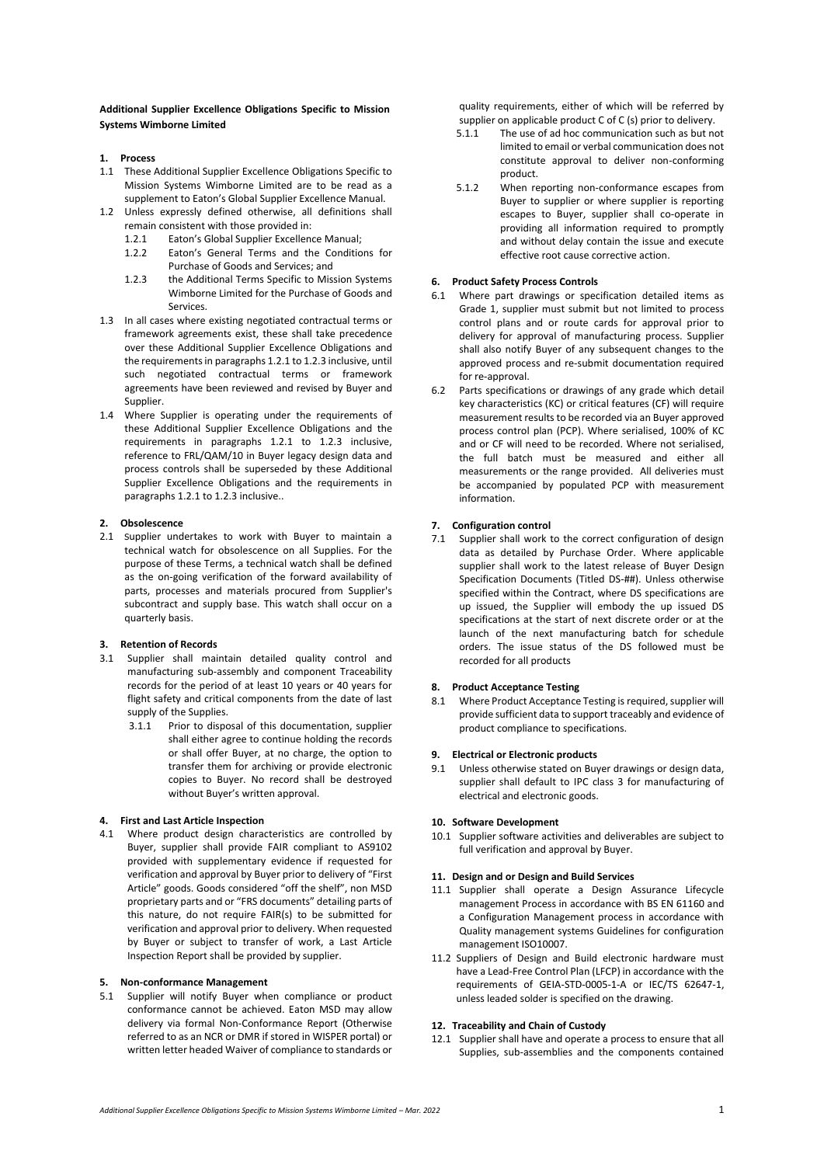**Additional Supplier Excellence Obligations Specific to Mission Systems Wimborne Limited**

- **1. Process**
- 1.1 These Additional Supplier Excellence Obligations Specific to Mission Systems Wimborne Limited are to be read as a supplement to Eaton's Global Supplier Excellence Manual.
- 1.2 Unless expressly defined otherwise, all definitions shall remain consistent with those provided in:
	- 1.2.1 Eaton's Global Supplier Excellence Manual;
	- 1.2.2 Eaton's General Terms and the Conditions for Purchase of Goods and Services; and
	- 1.2.3 the Additional Terms Specific to Mission Systems Wimborne Limited for the Purchase of Goods and Services.
- 1.3 In all cases where existing negotiated contractual terms or framework agreements exist, these shall take precedence over these Additional Supplier Excellence Obligations and the requirements in paragraphs 1.2.1 to 1.2.3 inclusive, until such negotiated contractual terms or framework agreements have been reviewed and revised by Buyer and Supplier.
- 1.4 Where Supplier is operating under the requirements of these Additional Supplier Excellence Obligations and the requirements in paragraphs 1.2.1 to 1.2.3 inclusive, reference to FRL/QAM/10 in Buyer legacy design data and process controls shall be superseded by these Additional Supplier Excellence Obligations and the requirements in paragraphs 1.2.1 to 1.2.3 inclusive..

# **2. Obsolescence**

2.1 Supplier undertakes to work with Buyer to maintain a technical watch for obsolescence on all Supplies. For the purpose of these Terms, a technical watch shall be defined as the on-going verification of the forward availability of parts, processes and materials procured from Supplier's subcontract and supply base. This watch shall occur on a quarterly basis.

# **3. Retention of Records**

- 3.1 Supplier shall maintain detailed quality control and manufacturing sub-assembly and component Traceability records for the period of at least 10 years or 40 years for flight safety and critical components from the date of last supply of the Supplies.
	- 3.1.1 Prior to disposal of this documentation, supplier shall either agree to continue holding the records or shall offer Buyer, at no charge, the option to transfer them for archiving or provide electronic copies to Buyer. No record shall be destroyed without Buyer's written approval.

# **4. First and Last Article Inspection**

4.1 Where product design characteristics are controlled by Buyer, supplier shall provide FAIR compliant to AS9102 provided with supplementary evidence if requested for verification and approval by Buyer prior to delivery of "First Article" goods. Goods considered "off the shelf", non MSD proprietary parts and or "FRS documents" detailing parts of this nature, do not require FAIR(s) to be submitted for verification and approval prior to delivery. When requested by Buyer or subject to transfer of work, a Last Article Inspection Report shall be provided by supplier.

#### **5. Non-conformance Management**

5.1 Supplier will notify Buyer when compliance or product conformance cannot be achieved. Eaton MSD may allow delivery via formal Non-Conformance Report (Otherwise referred to as an NCR or DMR if stored in WISPER portal) or written letter headed Waiver of compliance to standards or

quality requirements, either of which will be referred by supplier on applicable product C of C (s) prior to delivery.

- 5.1.1 The use of ad hoc communication such as but not limited to email or verbal communication does not constitute approval to deliver non-conforming product.
- 5.1.2 When reporting non-conformance escapes from Buyer to supplier or where supplier is reporting escapes to Buyer, supplier shall co-operate in providing all information required to promptly and without delay contain the issue and execute effective root cause corrective action.

## **6. Product Safety Process Controls**

- 6.1 Where part drawings or specification detailed items as Grade 1, supplier must submit but not limited to process control plans and or route cards for approval prior to delivery for approval of manufacturing process. Supplier shall also notify Buyer of any subsequent changes to the approved process and re-submit documentation required for re-approval.
- 6.2 Parts specifications or drawings of any grade which detail key characteristics (KC) or critical features (CF) will require measurement results to be recorded via an Buyer approved process control plan (PCP). Where serialised, 100% of KC and or CF will need to be recorded. Where not serialised, the full batch must be measured and either all measurements or the range provided. All deliveries must be accompanied by populated PCP with measurement information.

# **7. Configuration control**

7.1 Supplier shall work to the correct configuration of design data as detailed by Purchase Order. Where applicable supplier shall work to the latest release of Buyer Design Specification Documents (Titled DS-##). Unless otherwise specified within the Contract, where DS specifications are up issued, the Supplier will embody the up issued DS specifications at the start of next discrete order or at the launch of the next manufacturing batch for schedule orders. The issue status of the DS followed must be recorded for all products

# **8. Product Acceptance Testing**

8.1 Where Product Acceptance Testing is required, supplier will provide sufficient data to support traceably and evidence of product compliance to specifications.

### **9. Electrical or Electronic products**

Unless otherwise stated on Buyer drawings or design data, supplier shall default to IPC class 3 for manufacturing of electrical and electronic goods.

# **10. Software Development**

10.1 Supplier software activities and deliverables are subject to full verification and approval by Buyer.

#### **11. Design and or Design and Build Services**

- 11.1 Supplier shall operate a Design Assurance Lifecycle management Process in accordance with BS EN 61160 and a Configuration Management process in accordance with Quality management systems Guidelines for configuration management ISO10007.
- 11.2 Suppliers of Design and Build electronic hardware must have a Lead-Free Control Plan (LFCP) in accordance with the requirements of GEIA-STD-0005-1-A or IEC/TS 62647-1, unless leaded solder is specified on the drawing.

# **12. Traceability and Chain of Custody**

12.1 Supplier shall have and operate a process to ensure that all Supplies, sub-assemblies and the components contained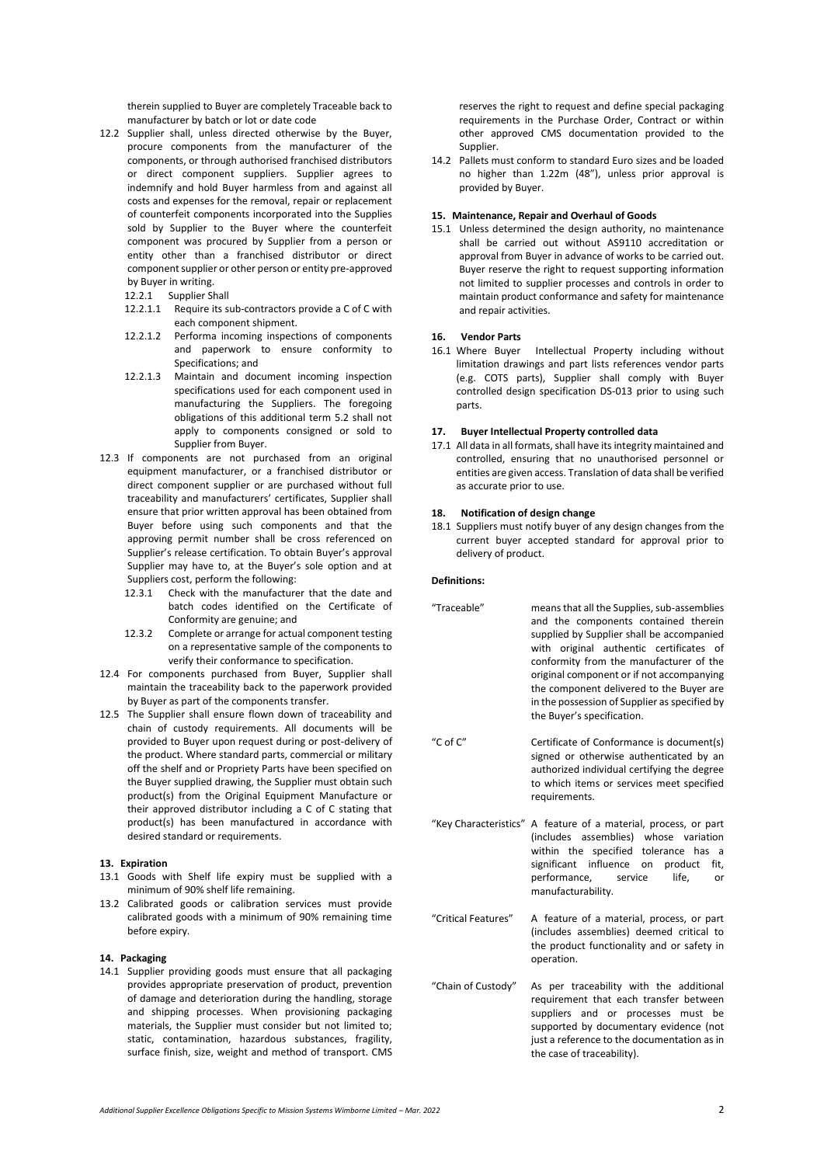therein supplied to Buyer are completely Traceable back to manufacturer by batch or lot or date code

- 12.2 Supplier shall, unless directed otherwise by the Buyer, procure components from the manufacturer of the components, or through authorised franchised distributors or direct component suppliers. Supplier agrees to indemnify and hold Buyer harmless from and against all costs and expenses for the removal, repair or replacement of counterfeit components incorporated into the Supplies sold by Supplier to the Buyer where the counterfeit component was procured by Supplier from a person or entity other than a franchised distributor or direct component supplier or other person or entity pre-approved by Buyer in writing.
	- 12.2.1 Supplier Shall
	- 12.2.1.1 Require its sub-contractors provide a C of C with each component shipment.
	- 12.2.1.2 Performa incoming inspections of components and paperwork to ensure conformity to Specifications; and
	- 12.2.1.3 Maintain and document incoming inspection specifications used for each component used in manufacturing the Suppliers. The foregoing obligations of this additional term 5.2 shall not apply to components consigned or sold to Supplier from Buyer.
- 12.3 If components are not purchased from an original equipment manufacturer, or a franchised distributor or direct component supplier or are purchased without full traceability and manufacturers' certificates, Supplier shall ensure that prior written approval has been obtained from Buyer before using such components and that the approving permit number shall be cross referenced on Supplier's release certification. To obtain Buyer's approval Supplier may have to, at the Buyer's sole option and at Suppliers cost, perform the following:
	- 12.3.1 Check with the manufacturer that the date and batch codes identified on the Certificate of Conformity are genuine; and
	- 12.3.2 Complete or arrange for actual component testing on a representative sample of the components to verify their conformance to specification.
- 12.4 For components purchased from Buyer, Supplier shall maintain the traceability back to the paperwork provided by Buyer as part of the components transfer.
- 12.5 The Supplier shall ensure flown down of traceability and chain of custody requirements. All documents will be provided to Buyer upon request during or post-delivery of the product. Where standard parts, commercial or military off the shelf and or Propriety Parts have been specified on the Buyer supplied drawing, the Supplier must obtain such product(s) from the Original Equipment Manufacture or their approved distributor including a C of C stating that product(s) has been manufactured in accordance with desired standard or requirements.

#### **13. Expiration**

- 13.1 Goods with Shelf life expiry must be supplied with a minimum of 90% shelf life remaining.
- 13.2 Calibrated goods or calibration services must provide calibrated goods with a minimum of 90% remaining time before expiry.

## **14. Packaging**

14.1 Supplier providing goods must ensure that all packaging provides appropriate preservation of product, prevention of damage and deterioration during the handling, storage and shipping processes. When provisioning packaging materials, the Supplier must consider but not limited to; static, contamination, hazardous substances, fragility, surface finish, size, weight and method of transport. CMS reserves the right to request and define special packaging requirements in the Purchase Order, Contract or within other approved CMS documentation provided to the Supplier.

14.2 Pallets must conform to standard Euro sizes and be loaded no higher than 1.22m (48"), unless prior approval is provided by Buyer.

#### **15. Maintenance, Repair and Overhaul of Goods**

15.1 Unless determined the design authority, no maintenance shall be carried out without AS9110 accreditation or approval from Buyer in advance of works to be carried out. Buyer reserve the right to request supporting information not limited to supplier processes and controls in order to maintain product conformance and safety for maintenance and repair activities.

# **16. Vendor Parts**

Intellectual Property including without limitation drawings and part lists references vendor parts (e.g. COTS parts), Supplier shall comply with Buyer controlled design specification DS-013 prior to using such parts.

# **17. Buyer Intellectual Property controlled data**

17.1 All data in all formats, shall have its integrity maintained and controlled, ensuring that no unauthorised personnel or entities are given access. Translation of data shall be verified as accurate prior to use.

# **18. Notification of design change**

18.1 Suppliers must notify buyer of any design changes from the current buyer accepted standard for approval prior to delivery of product.

#### **Definitions:**

- "Traceable" means that all the Supplies, sub-assemblies and the components contained therein supplied by Supplier shall be accompanied with original authentic certificates of conformity from the manufacturer of the original component or if not accompanying the component delivered to the Buyer are in the possession of Supplier as specified by the Buyer's specification.
- "C of C" Certificate of Conformance is document(s) signed or otherwise authenticated by an authorized individual certifying the degree to which items or services meet specified requirements.
- "Key Characteristics" A feature of a material, process, or part (includes assemblies) whose variation within the specified tolerance has a significant influence on product fit, performance, service life, or manufacturability.
- "Critical Features" A feature of a material, process, or part (includes assemblies) deemed critical to the product functionality and or safety in operation.
- "Chain of Custody" As per traceability with the additional requirement that each transfer between suppliers and or processes must be supported by documentary evidence (not just a reference to the documentation as in the case of traceability).